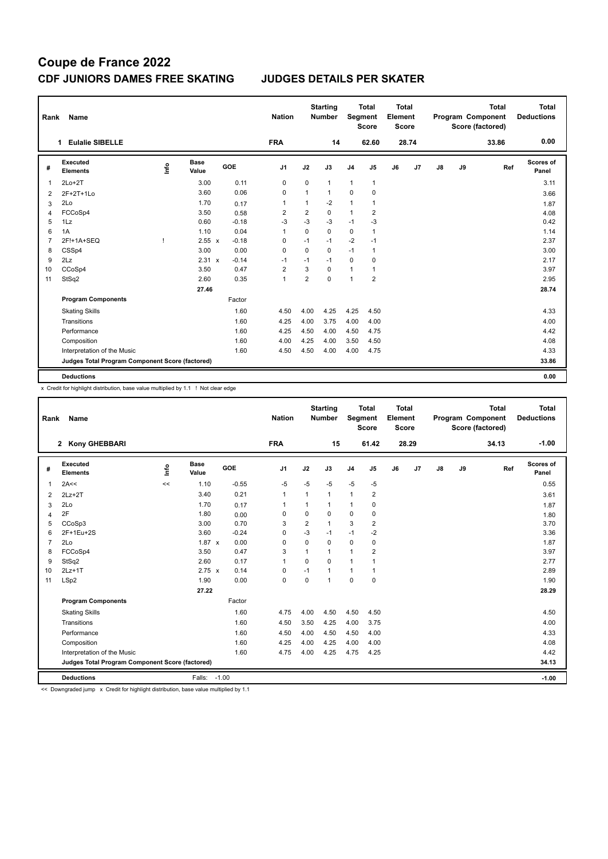| Rank           | Name                                            |      |                      |         | <b>Nation</b>  |                | <b>Starting</b><br><b>Number</b> |                | <b>Total</b><br>Segment<br><b>Score</b> | <b>Total</b><br>Element<br><b>Score</b> |       |               |    | <b>Total</b><br>Program Component<br>Score (factored) | Total<br><b>Deductions</b> |
|----------------|-------------------------------------------------|------|----------------------|---------|----------------|----------------|----------------------------------|----------------|-----------------------------------------|-----------------------------------------|-------|---------------|----|-------------------------------------------------------|----------------------------|
|                | <b>Eulalie SIBELLE</b><br>1                     |      |                      |         | <b>FRA</b>     |                | 14                               |                | 62.60                                   |                                         | 28.74 |               |    | 33.86                                                 | 0.00                       |
| #              | Executed<br><b>Elements</b>                     | ١nf٥ | <b>Base</b><br>Value | GOE     | J <sub>1</sub> | J2             | J3                               | J <sub>4</sub> | J <sub>5</sub>                          | J6                                      | J7    | $\mathsf{J}8$ | J9 | Ref                                                   | Scores of<br>Panel         |
| 1              | $2Lo+2T$                                        |      | 3.00                 | 0.11    | 0              | 0              | $\mathbf{1}$                     | $\mathbf{1}$   | $\mathbf{1}$                            |                                         |       |               |    |                                                       | 3.11                       |
| 2              | 2F+2T+1Lo                                       |      | 3.60                 | 0.06    | $\Omega$       | 1              | $\mathbf{1}$                     | 0              | $\mathbf 0$                             |                                         |       |               |    |                                                       | 3.66                       |
| 3              | 2Lo                                             |      | 1.70                 | 0.17    | 1              | $\mathbf{1}$   | $-2$                             | 1              | 1                                       |                                         |       |               |    |                                                       | 1.87                       |
| 4              | FCCoSp4                                         |      | 3.50                 | 0.58    | $\overline{2}$ | $\overline{2}$ | $\Omega$                         | $\mathbf{1}$   | $\overline{2}$                          |                                         |       |               |    |                                                       | 4.08                       |
| 5              | 1Lz                                             |      | 0.60                 | $-0.18$ | $-3$           | $-3$           | $-3$                             | $-1$           | $-3$                                    |                                         |       |               |    |                                                       | 0.42                       |
| 6              | 1A                                              |      | 1.10                 | 0.04    | $\overline{1}$ | $\Omega$       | $\Omega$                         | 0              | 1                                       |                                         |       |               |    |                                                       | 1.14                       |
| $\overline{7}$ | 2F!+1A+SEQ                                      | T    | $2.55 \times$        | $-0.18$ | $\Omega$       | $-1$           | $-1$                             | $-2$           | $-1$                                    |                                         |       |               |    |                                                       | 2.37                       |
| 8              | CSSp4                                           |      | 3.00                 | 0.00    | $\Omega$       | $\Omega$       | $\mathbf 0$                      | $-1$           | $\mathbf{1}$                            |                                         |       |               |    |                                                       | 3.00                       |
| 9              | 2Lz                                             |      | 2.31 x               | $-0.14$ | $-1$           | $-1$           | $-1$                             | 0              | $\mathbf 0$                             |                                         |       |               |    |                                                       | 2.17                       |
| 10             | CCoSp4                                          |      | 3.50                 | 0.47    | $\overline{2}$ | 3              | $\Omega$                         | 1              | $\mathbf{1}$                            |                                         |       |               |    |                                                       | 3.97                       |
| 11             | StSq2                                           |      | 2.60                 | 0.35    | $\mathbf{1}$   | $\overline{2}$ | $\mathbf 0$                      | $\mathbf{1}$   | $\overline{2}$                          |                                         |       |               |    |                                                       | 2.95                       |
|                |                                                 |      | 27.46                |         |                |                |                                  |                |                                         |                                         |       |               |    |                                                       | 28.74                      |
|                | <b>Program Components</b>                       |      |                      | Factor  |                |                |                                  |                |                                         |                                         |       |               |    |                                                       |                            |
|                | <b>Skating Skills</b>                           |      |                      | 1.60    | 4.50           | 4.00           | 4.25                             | 4.25           | 4.50                                    |                                         |       |               |    |                                                       | 4.33                       |
|                | Transitions                                     |      |                      | 1.60    | 4.25           | 4.00           | 3.75                             | 4.00           | 4.00                                    |                                         |       |               |    |                                                       | 4.00                       |
|                | Performance                                     |      |                      | 1.60    | 4.25           | 4.50           | 4.00                             | 4.50           | 4.75                                    |                                         |       |               |    |                                                       | 4.42                       |
|                | Composition                                     |      |                      | 1.60    | 4.00           | 4.25           | 4.00                             | 3.50           | 4.50                                    |                                         |       |               |    |                                                       | 4.08                       |
|                | Interpretation of the Music                     |      |                      | 1.60    | 4.50           | 4.50           | 4.00                             | 4.00           | 4.75                                    |                                         |       |               |    |                                                       | 4.33                       |
|                | Judges Total Program Component Score (factored) |      |                      |         |                |                |                                  |                |                                         |                                         |       |               |    |                                                       | 33.86                      |
|                | <b>Deductions</b>                               |      |                      |         |                |                |                                  |                |                                         |                                         |       |               |    |                                                       | 0.00                       |

x Credit for highlight distribution, base value multiplied by 1.1 ! Not clear edge

| Rank           | Name                                            |      |                      |         | <b>Nation</b> |                | <b>Starting</b><br><b>Number</b> | Segment        | <b>Total</b><br><b>Score</b> | Total<br>Element<br><b>Score</b> |       |    |    | <b>Total</b><br>Program Component<br>Score (factored) | Total<br><b>Deductions</b> |
|----------------|-------------------------------------------------|------|----------------------|---------|---------------|----------------|----------------------------------|----------------|------------------------------|----------------------------------|-------|----|----|-------------------------------------------------------|----------------------------|
|                | 2 Kony GHEBBARI                                 |      |                      |         | <b>FRA</b>    |                | 15                               |                | 61.42                        |                                  | 28.29 |    |    | 34.13                                                 | $-1.00$                    |
| #              | Executed<br><b>Elements</b>                     | lnfo | <b>Base</b><br>Value | GOE     | J1            | J2             | J3                               | J <sub>4</sub> | J5                           | J6                               | J7    | J8 | J9 | Ref                                                   | Scores of<br>Panel         |
| $\mathbf{1}$   | 2A<<                                            | <<   | 1.10                 | $-0.55$ | $-5$          | $-5$           | $-5$                             | $-5$           | $-5$                         |                                  |       |    |    |                                                       | 0.55                       |
| 2              | $2Lz+2T$                                        |      | 3.40                 | 0.21    | $\mathbf{1}$  | 1              | 1                                | $\mathbf{1}$   | $\overline{2}$               |                                  |       |    |    |                                                       | 3.61                       |
| 3              | 2Lo                                             |      | 1.70                 | 0.17    | $\mathbf{1}$  | 1              | 1                                | $\mathbf{1}$   | 0                            |                                  |       |    |    |                                                       | 1.87                       |
| $\overline{4}$ | 2F                                              |      | 1.80                 | 0.00    | $\Omega$      | 0              | 0                                | 0              | 0                            |                                  |       |    |    |                                                       | 1.80                       |
| 5              | CCoSp3                                          |      | 3.00                 | 0.70    | 3             | $\overline{2}$ | $\mathbf{1}$                     | 3              | $\overline{2}$               |                                  |       |    |    |                                                       | 3.70                       |
| 6              | 2F+1Eu+2S                                       |      | 3.60                 | $-0.24$ | $\Omega$      | $-3$           | $-1$                             | $-1$           | $-2$                         |                                  |       |    |    |                                                       | 3.36                       |
| $\overline{7}$ | 2Lo                                             |      | $1.87 \times$        | 0.00    | $\Omega$      | 0              | $\Omega$                         | $\mathbf 0$    | 0                            |                                  |       |    |    |                                                       | 1.87                       |
| 8              | FCCoSp4                                         |      | 3.50                 | 0.47    | 3             | 1              | 1                                | $\mathbf{1}$   | $\overline{2}$               |                                  |       |    |    |                                                       | 3.97                       |
| 9              | StSq2                                           |      | 2.60                 | 0.17    | $\mathbf{1}$  | $\Omega$       | $\Omega$                         | $\mathbf{1}$   | 1                            |                                  |       |    |    |                                                       | 2.77                       |
| 10             | $2Lz+1T$                                        |      | $2.75 \times$        | 0.14    | 0             | $-1$           | 1                                | $\mathbf{1}$   | 1                            |                                  |       |    |    |                                                       | 2.89                       |
| 11             | LSp2                                            |      | 1.90                 | 0.00    | $\mathbf 0$   | $\Omega$       | $\overline{1}$                   | $\mathbf 0$    | 0                            |                                  |       |    |    |                                                       | 1.90                       |
|                |                                                 |      | 27.22                |         |               |                |                                  |                |                              |                                  |       |    |    |                                                       | 28.29                      |
|                | <b>Program Components</b>                       |      |                      | Factor  |               |                |                                  |                |                              |                                  |       |    |    |                                                       |                            |
|                | <b>Skating Skills</b>                           |      |                      | 1.60    | 4.75          | 4.00           | 4.50                             | 4.50           | 4.50                         |                                  |       |    |    |                                                       | 4.50                       |
|                | Transitions                                     |      |                      | 1.60    | 4.50          | 3.50           | 4.25                             | 4.00           | 3.75                         |                                  |       |    |    |                                                       | 4.00                       |
|                | Performance                                     |      |                      | 1.60    | 4.50          | 4.00           | 4.50                             | 4.50           | 4.00                         |                                  |       |    |    |                                                       | 4.33                       |
|                | Composition                                     |      |                      | 1.60    | 4.25          | 4.00           | 4.25                             | 4.00           | 4.00                         |                                  |       |    |    |                                                       | 4.08                       |
|                | Interpretation of the Music                     |      |                      | 1.60    | 4.75          | 4.00           | 4.25                             | 4.75           | 4.25                         |                                  |       |    |    |                                                       | 4.42                       |
|                | Judges Total Program Component Score (factored) |      |                      |         |               |                |                                  |                |                              |                                  |       |    |    |                                                       | 34.13                      |
|                | <b>Deductions</b>                               |      | Falls:               | $-1.00$ |               |                |                                  |                |                              |                                  |       |    |    |                                                       | $-1.00$                    |

<< Downgraded jump x Credit for highlight distribution, base value multiplied by 1.1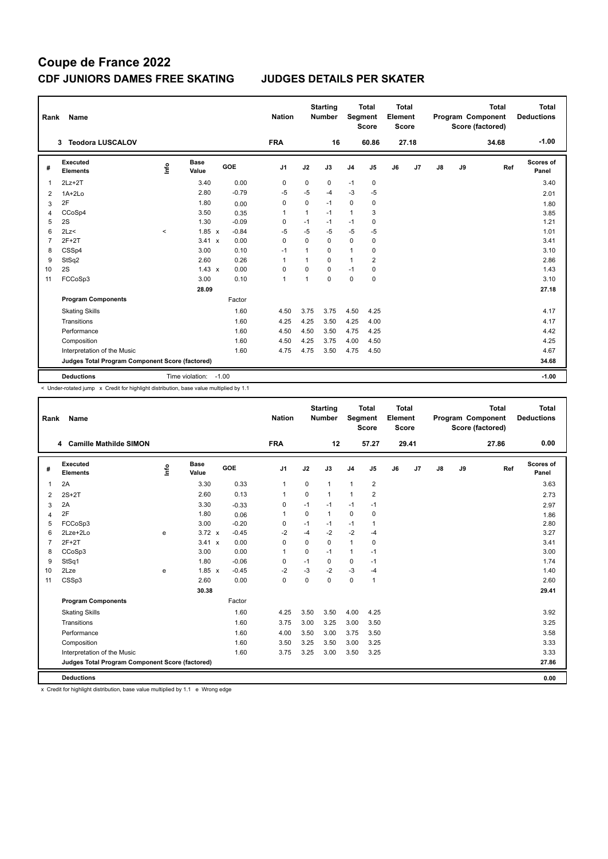| Rank           | Name                                            |          |                      |              |            | <b>Nation</b>  |              | <b>Starting</b><br><b>Number</b> |                | <b>Total</b><br>Segment<br><b>Score</b> | <b>Total</b><br>Element<br><b>Score</b> |       |    |    | <b>Total</b><br>Program Component<br>Score (factored) | <b>Total</b><br><b>Deductions</b> |
|----------------|-------------------------------------------------|----------|----------------------|--------------|------------|----------------|--------------|----------------------------------|----------------|-----------------------------------------|-----------------------------------------|-------|----|----|-------------------------------------------------------|-----------------------------------|
|                | <b>Teodora LUSCALOV</b><br>3                    |          |                      |              |            | <b>FRA</b>     |              | 16                               |                | 60.86                                   |                                         | 27.18 |    |    | 34.68                                                 | $-1.00$                           |
| #              | <b>Executed</b><br><b>Elements</b>              | ١nf٥     | <b>Base</b><br>Value |              | <b>GOE</b> | J <sub>1</sub> | J2           | J3                               | J <sub>4</sub> | J <sub>5</sub>                          | J6                                      | J7    | J8 | J9 | Ref                                                   | Scores of<br>Panel                |
| 1              | $2Lz+2T$                                        |          | 3.40                 |              | 0.00       | 0              | 0            | 0                                | $-1$           | 0                                       |                                         |       |    |    |                                                       | 3.40                              |
| 2              | $1A+2Lo$                                        |          | 2.80                 |              | $-0.79$    | $-5$           | $-5$         | $-4$                             | $-3$           | $-5$                                    |                                         |       |    |    |                                                       | 2.01                              |
| 3              | 2F                                              |          | 1.80                 |              | 0.00       | 0              | $\mathbf 0$  | $-1$                             | 0              | $\mathbf 0$                             |                                         |       |    |    |                                                       | 1.80                              |
| 4              | CCoSp4                                          |          | 3.50                 |              | 0.35       | $\overline{1}$ | 1            | $-1$                             | 1              | 3                                       |                                         |       |    |    |                                                       | 3.85                              |
| 5              | 2S                                              |          | 1.30                 |              | $-0.09$    | 0              | $-1$         | $-1$                             | $-1$           | 0                                       |                                         |       |    |    |                                                       | 1.21                              |
| 6              | 2Lz<                                            | $\hat{}$ | $1.85 \times$        |              | $-0.84$    | $-5$           | $-5$         | $-5$                             | $-5$           | $-5$                                    |                                         |       |    |    |                                                       | 1.01                              |
| $\overline{7}$ | $2F+2T$                                         |          | 3.41                 | $\mathsf{x}$ | 0.00       | 0              | $\Omega$     | $\mathbf 0$                      | $\mathbf 0$    | 0                                       |                                         |       |    |    |                                                       | 3.41                              |
| 8              | CSSp4                                           |          | 3.00                 |              | 0.10       | $-1$           | $\mathbf{1}$ | $\Omega$                         | $\mathbf{1}$   | 0                                       |                                         |       |    |    |                                                       | 3.10                              |
| 9              | StSq2                                           |          | 2.60                 |              | 0.26       | $\overline{1}$ | $\mathbf 1$  | 0                                | 1              | $\overline{\mathbf{c}}$                 |                                         |       |    |    |                                                       | 2.86                              |
| 10             | 2S                                              |          | $1.43 \times$        |              | 0.00       | 0              | 0            | $\Omega$                         | $-1$           | 0                                       |                                         |       |    |    |                                                       | 1.43                              |
| 11             | FCCoSp3                                         |          | 3.00                 |              | 0.10       | $\overline{1}$ | 1            | $\mathbf 0$                      | 0              | $\mathbf 0$                             |                                         |       |    |    |                                                       | 3.10                              |
|                |                                                 |          | 28.09                |              |            |                |              |                                  |                |                                         |                                         |       |    |    |                                                       | 27.18                             |
|                | <b>Program Components</b>                       |          |                      |              | Factor     |                |              |                                  |                |                                         |                                         |       |    |    |                                                       |                                   |
|                | <b>Skating Skills</b>                           |          |                      |              | 1.60       | 4.50           | 3.75         | 3.75                             | 4.50           | 4.25                                    |                                         |       |    |    |                                                       | 4.17                              |
|                | Transitions                                     |          |                      |              | 1.60       | 4.25           | 4.25         | 3.50                             | 4.25           | 4.00                                    |                                         |       |    |    |                                                       | 4.17                              |
|                | Performance                                     |          |                      |              | 1.60       | 4.50           | 4.50         | 3.50                             | 4.75           | 4.25                                    |                                         |       |    |    |                                                       | 4.42                              |
|                | Composition                                     |          |                      |              | 1.60       | 4.50           | 4.25         | 3.75                             | 4.00           | 4.50                                    |                                         |       |    |    |                                                       | 4.25                              |
|                | Interpretation of the Music                     |          |                      |              | 1.60       | 4.75           | 4.75         | 3.50                             | 4.75           | 4.50                                    |                                         |       |    |    |                                                       | 4.67                              |
|                | Judges Total Program Component Score (factored) |          |                      |              |            |                |              |                                  |                |                                         |                                         |       |    |    |                                                       | 34.68                             |
|                | <b>Deductions</b>                               |          | Time violation:      | $-1.00$      |            |                |              |                                  |                |                                         |                                         |       |    |    |                                                       | $-1.00$                           |

< Under-rotated jump x Credit for highlight distribution, base value multiplied by 1.1

| Rank           | Name                                            |      |               |         | <b>Nation</b>  |             | <b>Starting</b><br><b>Number</b> | Segment        | <b>Total</b><br><b>Score</b> | <b>Total</b><br>Element<br><b>Score</b> |                |               |    | <b>Total</b><br>Program Component<br>Score (factored) | <b>Total</b><br><b>Deductions</b> |
|----------------|-------------------------------------------------|------|---------------|---------|----------------|-------------|----------------------------------|----------------|------------------------------|-----------------------------------------|----------------|---------------|----|-------------------------------------------------------|-----------------------------------|
|                | 4 Camille Mathilde SIMON                        |      |               |         | <b>FRA</b>     |             | 12                               |                | 57.27                        |                                         | 29.41          |               |    | 27.86                                                 | 0.00                              |
| #              | Executed<br><b>Elements</b>                     | lnfo | Base<br>Value | GOE     | J <sub>1</sub> | J2          | J3                               | J <sub>4</sub> | J5                           | J6                                      | J <sub>7</sub> | $\mathsf{J}8$ | J9 | Ref                                                   | Scores of<br>Panel                |
| 1              | 2A                                              |      | 3.30          | 0.33    | 1              | 0           | 1                                | $\mathbf{1}$   | $\overline{2}$               |                                         |                |               |    |                                                       | 3.63                              |
| 2              | $2S+2T$                                         |      | 2.60          | 0.13    | $\mathbf{1}$   | 0           | 1                                | $\mathbf{1}$   | $\overline{2}$               |                                         |                |               |    |                                                       | 2.73                              |
| 3              | 2A                                              |      | 3.30          | $-0.33$ | 0              | $-1$        | $-1$                             | $-1$           | $-1$                         |                                         |                |               |    |                                                       | 2.97                              |
| $\overline{4}$ | 2F                                              |      | 1.80          | 0.06    | 1              | $\mathbf 0$ | $\mathbf{1}$                     | $\mathbf 0$    | 0                            |                                         |                |               |    |                                                       | 1.86                              |
| 5              | FCCoSp3                                         |      | 3.00          | $-0.20$ | 0              | $-1$        | $-1$                             | $-1$           | 1                            |                                         |                |               |    |                                                       | 2.80                              |
| 6              | 2Lze+2Lo                                        | e    | $3.72 \times$ | $-0.45$ | $-2$           | $-4$        | $-2$                             | $-2$           | $-4$                         |                                         |                |               |    |                                                       | 3.27                              |
| 7              | $2F+2T$                                         |      | 3.41 x        | 0.00    | $\Omega$       | $\Omega$    | $\Omega$                         | $\mathbf{1}$   | 0                            |                                         |                |               |    |                                                       | 3.41                              |
| 8              | CCoSp3                                          |      | 3.00          | 0.00    | $\mathbf{1}$   | 0           | $-1$                             | $\mathbf{1}$   | $-1$                         |                                         |                |               |    |                                                       | 3.00                              |
| 9              | StSq1                                           |      | 1.80          | $-0.06$ | 0              | $-1$        | 0                                | 0              | $-1$                         |                                         |                |               |    |                                                       | 1.74                              |
| 10             | 2Lze                                            | e    | $1.85 \times$ | $-0.45$ | $-2$           | $-3$        | $-2$                             | $-3$           | $-4$                         |                                         |                |               |    |                                                       | 1.40                              |
| 11             | CSSp3                                           |      | 2.60          | 0.00    | $\mathbf 0$    | 0           | 0                                | $\pmb{0}$      | 1                            |                                         |                |               |    |                                                       | 2.60                              |
|                |                                                 |      | 30.38         |         |                |             |                                  |                |                              |                                         |                |               |    |                                                       | 29.41                             |
|                | <b>Program Components</b>                       |      |               | Factor  |                |             |                                  |                |                              |                                         |                |               |    |                                                       |                                   |
|                | <b>Skating Skills</b>                           |      |               | 1.60    | 4.25           | 3.50        | 3.50                             | 4.00           | 4.25                         |                                         |                |               |    |                                                       | 3.92                              |
|                | Transitions                                     |      |               | 1.60    | 3.75           | 3.00        | 3.25                             | 3.00           | 3.50                         |                                         |                |               |    |                                                       | 3.25                              |
|                | Performance                                     |      |               | 1.60    | 4.00           | 3.50        | 3.00                             | 3.75           | 3.50                         |                                         |                |               |    |                                                       | 3.58                              |
|                | Composition                                     |      |               | 1.60    | 3.50           | 3.25        | 3.50                             | 3.00           | 3.25                         |                                         |                |               |    |                                                       | 3.33                              |
|                | Interpretation of the Music                     |      |               | 1.60    | 3.75           | 3.25        | 3.00                             | 3.50           | 3.25                         |                                         |                |               |    |                                                       | 3.33                              |
|                | Judges Total Program Component Score (factored) |      |               |         |                |             |                                  |                |                              |                                         |                |               |    |                                                       | 27.86                             |
|                | <b>Deductions</b>                               |      |               |         |                |             |                                  |                |                              |                                         |                |               |    |                                                       | 0.00                              |

x Credit for highlight distribution, base value multiplied by 1.1 e Wrong edge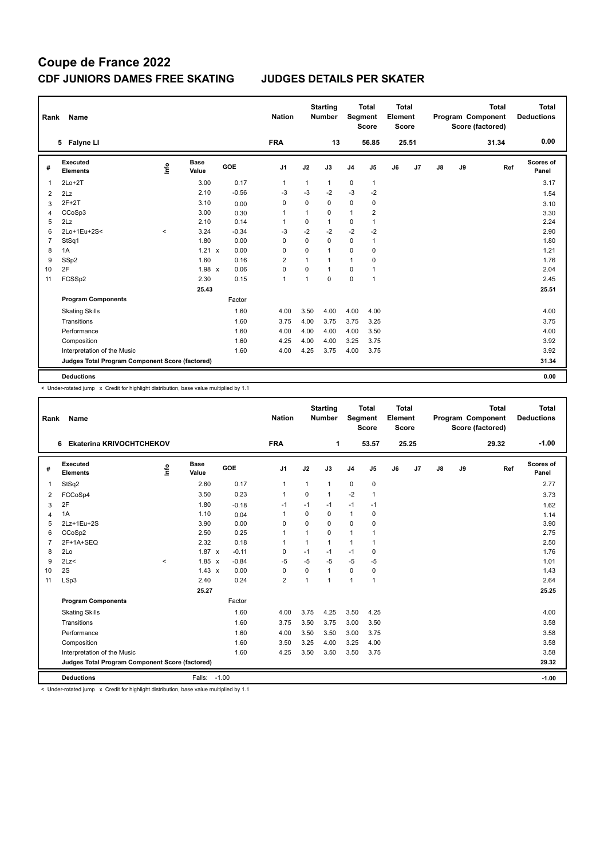| Rank           | Name                                            |         |                      |         | <b>Nation</b>  |                | <b>Starting</b><br><b>Number</b> |                | <b>Total</b><br>Segment<br><b>Score</b> | <b>Total</b><br>Element<br><b>Score</b> |       |               |    | <b>Total</b><br>Program Component<br>Score (factored) | Total<br><b>Deductions</b> |
|----------------|-------------------------------------------------|---------|----------------------|---------|----------------|----------------|----------------------------------|----------------|-----------------------------------------|-----------------------------------------|-------|---------------|----|-------------------------------------------------------|----------------------------|
|                | 5 Falyne LI                                     |         |                      |         | <b>FRA</b>     |                | 13                               |                | 56.85                                   |                                         | 25.51 |               |    | 31.34                                                 | 0.00                       |
| #              | Executed<br><b>Elements</b>                     | ١nf٥    | <b>Base</b><br>Value | GOE     | J <sub>1</sub> | J2             | J3                               | J <sub>4</sub> | J <sub>5</sub>                          | J6                                      | J7    | $\mathsf{J}8$ | J9 | Ref                                                   | Scores of<br>Panel         |
| -1             | $2Lo+2T$                                        |         | 3.00                 | 0.17    | 1              | 1              | $\mathbf{1}$                     | 0              | $\mathbf{1}$                            |                                         |       |               |    |                                                       | 3.17                       |
| $\overline{2}$ | 2Lz                                             |         | 2.10                 | $-0.56$ | $-3$           | $-3$           | $-2$                             | $-3$           | $-2$                                    |                                         |       |               |    |                                                       | 1.54                       |
| 3              | $2F+2T$                                         |         | 3.10                 | 0.00    | 0              | 0              | $\mathbf 0$                      | 0              | 0                                       |                                         |       |               |    |                                                       | 3.10                       |
| $\overline{4}$ | CCoSp3                                          |         | 3.00                 | 0.30    | 1              | 1              | $\mathbf 0$                      | $\mathbf{1}$   | $\overline{2}$                          |                                         |       |               |    |                                                       | 3.30                       |
| 5              | 2Lz                                             |         | 2.10                 | 0.14    | 1              | 0              | $\mathbf{1}$                     | 0              | $\mathbf{1}$                            |                                         |       |               |    |                                                       | 2.24                       |
| 6              | 2Lo+1Eu+2S<                                     | $\prec$ | 3.24                 | $-0.34$ | $-3$           | $-2$           | $-2$                             | $-2$           | $-2$                                    |                                         |       |               |    |                                                       | 2.90                       |
| 7              | StSq1                                           |         | 1.80                 | 0.00    | 0              | 0              | $\mathbf 0$                      | 0              | $\mathbf{1}$                            |                                         |       |               |    |                                                       | 1.80                       |
| 8              | 1A                                              |         | $1.21 \times$        | 0.00    | 0              | $\Omega$       | $\mathbf{1}$                     | 0              | $\mathbf 0$                             |                                         |       |               |    |                                                       | 1.21                       |
| 9              | SSp2                                            |         | 1.60                 | 0.16    | $\overline{2}$ | 1              | 1                                | 1              | 0                                       |                                         |       |               |    |                                                       | 1.76                       |
| 10             | 2F                                              |         | 1.98 x               | 0.06    | 0              | 0              | $\mathbf{1}$                     | 0              | $\mathbf{1}$                            |                                         |       |               |    |                                                       | 2.04                       |
| 11             | FCSSp2                                          |         | 2.30                 | 0.15    | 1              | $\overline{1}$ | $\mathbf 0$                      | 0              | $\overline{1}$                          |                                         |       |               |    |                                                       | 2.45                       |
|                |                                                 |         | 25.43                |         |                |                |                                  |                |                                         |                                         |       |               |    |                                                       | 25.51                      |
|                | <b>Program Components</b>                       |         |                      | Factor  |                |                |                                  |                |                                         |                                         |       |               |    |                                                       |                            |
|                | <b>Skating Skills</b>                           |         |                      | 1.60    | 4.00           | 3.50           | 4.00                             | 4.00           | 4.00                                    |                                         |       |               |    |                                                       | 4.00                       |
|                | Transitions                                     |         |                      | 1.60    | 3.75           | 4.00           | 3.75                             | 3.75           | 3.25                                    |                                         |       |               |    |                                                       | 3.75                       |
|                | Performance                                     |         |                      | 1.60    | 4.00           | 4.00           | 4.00                             | 4.00           | 3.50                                    |                                         |       |               |    |                                                       | 4.00                       |
|                | Composition                                     |         |                      | 1.60    | 4.25           | 4.00           | 4.00                             | 3.25           | 3.75                                    |                                         |       |               |    |                                                       | 3.92                       |
|                | Interpretation of the Music                     |         |                      | 1.60    | 4.00           | 4.25           | 3.75                             | 4.00           | 3.75                                    |                                         |       |               |    |                                                       | 3.92                       |
|                | Judges Total Program Component Score (factored) |         |                      |         |                |                |                                  |                |                                         |                                         |       |               |    |                                                       | 31.34                      |
|                | <b>Deductions</b>                               |         |                      |         |                |                |                                  |                |                                         |                                         |       |               |    |                                                       | 0.00                       |

< Under-rotated jump x Credit for highlight distribution, base value multiplied by 1.1

| Rank           | Name                                            |         |                      |         | <b>Nation</b>  |                         | <b>Starting</b><br><b>Number</b> | Segment        | <b>Total</b><br><b>Score</b> | <b>Total</b><br>Element<br><b>Score</b> |       |    |    | <b>Total</b><br>Program Component<br>Score (factored) | <b>Total</b><br><b>Deductions</b> |
|----------------|-------------------------------------------------|---------|----------------------|---------|----------------|-------------------------|----------------------------------|----------------|------------------------------|-----------------------------------------|-------|----|----|-------------------------------------------------------|-----------------------------------|
|                | <b>Ekaterina KRIVOCHTCHEKOV</b><br>6            |         |                      |         | <b>FRA</b>     |                         | 1                                |                | 53.57                        |                                         | 25.25 |    |    | 29.32                                                 | $-1.00$                           |
| #              | Executed<br><b>Elements</b>                     | lnfo    | <b>Base</b><br>Value | GOE     | J1             | J2                      | J3                               | J <sub>4</sub> | $\mathsf{J}5$                | J6                                      | J7    | J8 | J9 | Ref                                                   | Scores of<br>Panel                |
| $\mathbf{1}$   | StSq2                                           |         | 2.60                 | 0.17    | $\mathbf{1}$   | $\mathbf{1}$            | $\mathbf{1}$                     | $\mathbf 0$    | $\mathbf 0$                  |                                         |       |    |    |                                                       | 2.77                              |
| $\overline{2}$ | FCCoSp4                                         |         | 3.50                 | 0.23    | $\mathbf{1}$   | $\Omega$                | $\mathbf{1}$                     | $-2$           | $\mathbf{1}$                 |                                         |       |    |    |                                                       | 3.73                              |
| 3              | 2F                                              |         | 1.80                 | $-0.18$ | $-1$           | $-1$                    | $-1$                             | $-1$           | $-1$                         |                                         |       |    |    |                                                       | 1.62                              |
| $\overline{4}$ | 1A                                              |         | 1.10                 | 0.04    | $\mathbf{1}$   | $\Omega$                | 0                                | $\mathbf{1}$   | 0                            |                                         |       |    |    |                                                       | 1.14                              |
| 5              | 2Lz+1Eu+2S                                      |         | 3.90                 | 0.00    | $\Omega$       | $\Omega$                | 0                                | $\Omega$       | $\Omega$                     |                                         |       |    |    |                                                       | 3.90                              |
| 6              | CCoSp2                                          |         | 2.50                 | 0.25    | 1              | $\overline{\mathbf{1}}$ | 0                                | $\mathbf{1}$   | -1                           |                                         |       |    |    |                                                       | 2.75                              |
| $\overline{7}$ | 2F+1A+SEQ                                       |         | 2.32                 | 0.18    | $\mathbf 1$    | $\mathbf{1}$            | 1                                | $\overline{1}$ | 1                            |                                         |       |    |    |                                                       | 2.50                              |
| 8              | 2Lo                                             |         | $1.87 \times$        | $-0.11$ | 0              | $-1$                    | $-1$                             | $-1$           | 0                            |                                         |       |    |    |                                                       | 1.76                              |
| 9              | 2Lz<                                            | $\prec$ | $1.85 \times$        | $-0.84$ | -5             | $-5$                    | $-5$                             | $-5$           | $-5$                         |                                         |       |    |    |                                                       | 1.01                              |
| 10             | 2S                                              |         | $1.43 \times$        | 0.00    | $\mathbf 0$    | $\Omega$                | 1                                | $\mathbf 0$    | $\mathbf 0$                  |                                         |       |    |    |                                                       | 1.43                              |
| 11             | LSp3                                            |         | 2.40                 | 0.24    | $\overline{2}$ | $\overline{ }$          | $\mathbf{1}$                     | 1              | $\overline{1}$               |                                         |       |    |    |                                                       | 2.64                              |
|                |                                                 |         | 25.27                |         |                |                         |                                  |                |                              |                                         |       |    |    |                                                       | 25.25                             |
|                | <b>Program Components</b>                       |         |                      | Factor  |                |                         |                                  |                |                              |                                         |       |    |    |                                                       |                                   |
|                | <b>Skating Skills</b>                           |         |                      | 1.60    | 4.00           | 3.75                    | 4.25                             | 3.50           | 4.25                         |                                         |       |    |    |                                                       | 4.00                              |
|                | Transitions                                     |         |                      | 1.60    | 3.75           | 3.50                    | 3.75                             | 3.00           | 3.50                         |                                         |       |    |    |                                                       | 3.58                              |
|                | Performance                                     |         |                      | 1.60    | 4.00           | 3.50                    | 3.50                             | 3.00           | 3.75                         |                                         |       |    |    |                                                       | 3.58                              |
|                | Composition                                     |         |                      | 1.60    | 3.50           | 3.25                    | 4.00                             | 3.25           | 4.00                         |                                         |       |    |    |                                                       | 3.58                              |
|                | Interpretation of the Music                     |         |                      | 1.60    | 4.25           | 3.50                    | 3.50                             | 3.50           | 3.75                         |                                         |       |    |    |                                                       | 3.58                              |
|                | Judges Total Program Component Score (factored) |         |                      |         |                |                         |                                  |                |                              |                                         |       |    |    |                                                       | 29.32                             |
|                | <b>Deductions</b>                               |         | Falls:               | $-1.00$ |                |                         |                                  |                |                              |                                         |       |    |    |                                                       | $-1.00$                           |

< Under-rotated jump x Credit for highlight distribution, base value multiplied by 1.1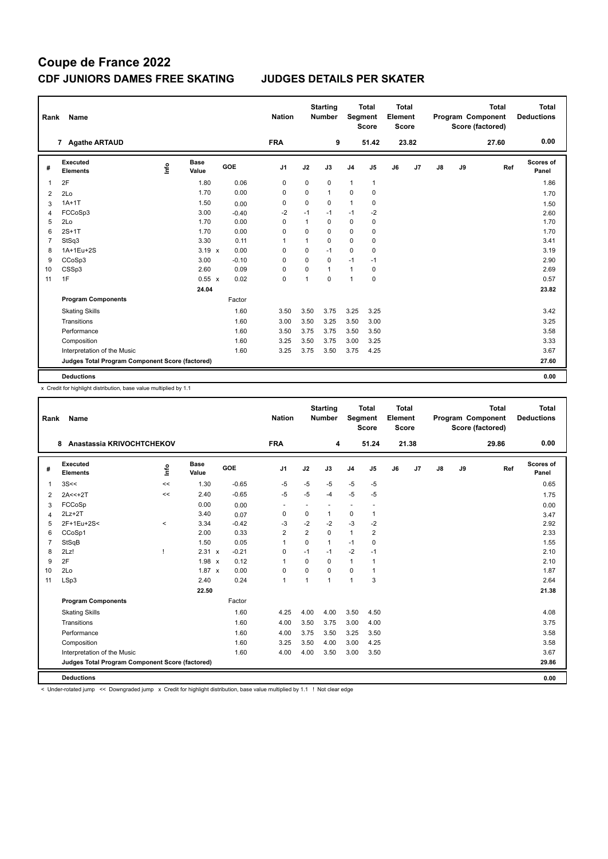| Rank           | Name                                            |       |                      |         | <b>Nation</b>  |              | <b>Starting</b><br><b>Number</b> |                | <b>Total</b><br>Segment<br><b>Score</b> | <b>Total</b><br>Element<br>Score |       |               |    | <b>Total</b><br>Program Component<br>Score (factored) | <b>Total</b><br><b>Deductions</b> |
|----------------|-------------------------------------------------|-------|----------------------|---------|----------------|--------------|----------------------------------|----------------|-----------------------------------------|----------------------------------|-------|---------------|----|-------------------------------------------------------|-----------------------------------|
|                | 7 Agathe ARTAUD                                 |       |                      |         | <b>FRA</b>     |              | 9                                |                | 51.42                                   |                                  | 23.82 |               |    | 27.60                                                 | 0.00                              |
| #              | Executed<br><b>Elements</b>                     | Linfo | <b>Base</b><br>Value | GOE     | J <sub>1</sub> | J2           | J3                               | J <sub>4</sub> | J5                                      | J6                               | J7    | $\mathsf{J}8$ | J9 | Ref                                                   | Scores of<br>Panel                |
| 1              | 2F                                              |       | 1.80                 | 0.06    | $\mathbf 0$    | 0            | $\mathbf 0$                      | $\mathbf{1}$   | $\mathbf{1}$                            |                                  |       |               |    |                                                       | 1.86                              |
| $\overline{2}$ | 2Lo                                             |       | 1.70                 | 0.00    | 0              | 0            | $\mathbf{1}$                     | 0              | 0                                       |                                  |       |               |    |                                                       | 1.70                              |
| 3              | $1A+1T$                                         |       | 1.50                 | 0.00    | 0              | 0            | $\mathbf 0$                      | $\mathbf{1}$   | 0                                       |                                  |       |               |    |                                                       | 1.50                              |
| 4              | FCCoSp3                                         |       | 3.00                 | $-0.40$ | $-2$           | $-1$         | $-1$                             | $-1$           | $-2$                                    |                                  |       |               |    |                                                       | 2.60                              |
| 5              | 2Lo                                             |       | 1.70                 | 0.00    | 0              | $\mathbf{1}$ | $\mathbf 0$                      | $\pmb{0}$      | $\pmb{0}$                               |                                  |       |               |    |                                                       | 1.70                              |
| 6              | $2S+1T$                                         |       | 1.70                 | 0.00    | $\Omega$       | 0            | $\Omega$                         | 0              | 0                                       |                                  |       |               |    |                                                       | 1.70                              |
| 7              | StSq3                                           |       | 3.30                 | 0.11    | 1              | 1            | $\Omega$                         | $\mathbf 0$    | $\mathbf 0$                             |                                  |       |               |    |                                                       | 3.41                              |
| 8              | 1A+1Eu+2S                                       |       | $3.19 \times$        | 0.00    | $\mathbf 0$    | 0            | $-1$                             | $\mathbf 0$    | $\mathbf 0$                             |                                  |       |               |    |                                                       | 3.19                              |
| 9              | CCoSp3                                          |       | 3.00                 | $-0.10$ | 0              | 0            | $\mathbf 0$                      | $-1$           | $-1$                                    |                                  |       |               |    |                                                       | 2.90                              |
| 10             | CSSp3                                           |       | 2.60                 | 0.09    | 0              | 0            | $\mathbf{1}$                     | $\mathbf{1}$   | 0                                       |                                  |       |               |    |                                                       | 2.69                              |
| 11             | 1F                                              |       | 0.55 x               | 0.02    | 0              | 1            | $\mathbf 0$                      | $\mathbf{1}$   | $\pmb{0}$                               |                                  |       |               |    |                                                       | 0.57                              |
|                |                                                 |       | 24.04                |         |                |              |                                  |                |                                         |                                  |       |               |    |                                                       | 23.82                             |
|                | <b>Program Components</b>                       |       |                      | Factor  |                |              |                                  |                |                                         |                                  |       |               |    |                                                       |                                   |
|                | <b>Skating Skills</b>                           |       |                      | 1.60    | 3.50           | 3.50         | 3.75                             | 3.25           | 3.25                                    |                                  |       |               |    |                                                       | 3.42                              |
|                | Transitions                                     |       |                      | 1.60    | 3.00           | 3.50         | 3.25                             | 3.50           | 3.00                                    |                                  |       |               |    |                                                       | 3.25                              |
|                | Performance                                     |       |                      | 1.60    | 3.50           | 3.75         | 3.75                             | 3.50           | 3.50                                    |                                  |       |               |    |                                                       | 3.58                              |
|                | Composition                                     |       |                      | 1.60    | 3.25           | 3.50         | 3.75                             | 3.00           | 3.25                                    |                                  |       |               |    |                                                       | 3.33                              |
|                | Interpretation of the Music                     |       |                      | 1.60    | 3.25           | 3.75         | 3.50                             | 3.75           | 4.25                                    |                                  |       |               |    |                                                       | 3.67                              |
|                | Judges Total Program Component Score (factored) |       |                      |         |                |              |                                  |                |                                         |                                  |       |               |    |                                                       | 27.60                             |
|                | <b>Deductions</b>                               |       |                      |         |                |              |                                  |                |                                         |                                  |       |               |    |                                                       | 0.00                              |

x Credit for highlight distribution, base value multiplied by 1.1

| Rank | Name                                            |       |                      |         | <b>Nation</b>            |                | <b>Starting</b><br><b>Number</b> | Segment        | <b>Total</b><br><b>Score</b> | Total<br>Element<br><b>Score</b> |       |    |    | <b>Total</b><br>Program Component<br>Score (factored) | <b>Total</b><br><b>Deductions</b> |
|------|-------------------------------------------------|-------|----------------------|---------|--------------------------|----------------|----------------------------------|----------------|------------------------------|----------------------------------|-------|----|----|-------------------------------------------------------|-----------------------------------|
|      | Anastassia KRIVOCHTCHEKOV<br>8                  |       |                      |         | <b>FRA</b>               |                | 4                                |                | 51.24                        |                                  | 21.38 |    |    | 29.86                                                 | 0.00                              |
| #    | Executed<br><b>Elements</b>                     | lnfo  | <b>Base</b><br>Value | GOE     | J <sub>1</sub>           | J2             | J3                               | J <sub>4</sub> | J5                           | J6                               | J7    | J8 | J9 | Ref                                                   | Scores of<br>Panel                |
| 1    | 3S<<                                            | <<    | 1.30                 | $-0.65$ | $-5$                     | $-5$           | $-5$                             | -5             | $-5$                         |                                  |       |    |    |                                                       | 0.65                              |
| 2    | $2A < +2T$                                      | <<    | 2.40                 | $-0.65$ | $-5$                     | $-5$           | $-4$                             | $-5$           | $-5$                         |                                  |       |    |    |                                                       | 1.75                              |
| 3    | FCCoSp                                          |       | 0.00                 | 0.00    | $\overline{\phantom{a}}$ |                | $\overline{\phantom{a}}$         | ٠              |                              |                                  |       |    |    |                                                       | 0.00                              |
| 4    | $2Lz+2T$                                        |       | 3.40                 | 0.07    | $\mathbf 0$              | 0              | $\mathbf{1}$                     | 0              | 1                            |                                  |       |    |    |                                                       | 3.47                              |
| 5    | 2F+1Eu+2S<                                      | $\,<$ | 3.34                 | $-0.42$ | $-3$                     | $-2$           | $-2$                             | -3             | $-2$                         |                                  |       |    |    |                                                       | 2.92                              |
| 6    | CCoSp1                                          |       | 2.00                 | 0.33    | $\overline{2}$           | $\overline{2}$ | 0                                | $\mathbf{1}$   | $\overline{2}$               |                                  |       |    |    |                                                       | 2.33                              |
| 7    | StSqB                                           |       | 1.50                 | 0.05    | 1                        | 0              | $\mathbf{1}$                     | $-1$           | 0                            |                                  |       |    |    |                                                       | 1.55                              |
| 8    | 2Lz!                                            |       | $2.31 \times$        | $-0.21$ | $\mathbf 0$              | $-1$           | $-1$                             | $-2$           | $-1$                         |                                  |       |    |    |                                                       | 2.10                              |
| 9    | 2F                                              |       | $1.98 \times$        | 0.12    | $\mathbf{1}$             | $\Omega$       | 0                                | $\mathbf{1}$   | 1                            |                                  |       |    |    |                                                       | 2.10                              |
| 10   | 2Lo                                             |       | $1.87 \times$        | 0.00    | $\mathbf 0$              | 0              | 0                                | 0              | 1                            |                                  |       |    |    |                                                       | 1.87                              |
| 11   | LSp3                                            |       | 2.40                 | 0.24    | 1                        | $\overline{1}$ | 1                                | $\mathbf{1}$   | 3                            |                                  |       |    |    |                                                       | 2.64                              |
|      |                                                 |       | 22.50                |         |                          |                |                                  |                |                              |                                  |       |    |    |                                                       | 21.38                             |
|      | <b>Program Components</b>                       |       |                      | Factor  |                          |                |                                  |                |                              |                                  |       |    |    |                                                       |                                   |
|      | <b>Skating Skills</b>                           |       |                      | 1.60    | 4.25                     | 4.00           | 4.00                             | 3.50           | 4.50                         |                                  |       |    |    |                                                       | 4.08                              |
|      | Transitions                                     |       |                      | 1.60    | 4.00                     | 3.50           | 3.75                             | 3.00           | 4.00                         |                                  |       |    |    |                                                       | 3.75                              |
|      | Performance                                     |       |                      | 1.60    | 4.00                     | 3.75           | 3.50                             | 3.25           | 3.50                         |                                  |       |    |    |                                                       | 3.58                              |
|      | Composition                                     |       |                      | 1.60    | 3.25                     | 3.50           | 4.00                             | 3.00           | 4.25                         |                                  |       |    |    |                                                       | 3.58                              |
|      | Interpretation of the Music                     |       |                      | 1.60    | 4.00                     | 4.00           | 3.50                             | 3.00           | 3.50                         |                                  |       |    |    |                                                       | 3.67                              |
|      | Judges Total Program Component Score (factored) |       |                      |         |                          |                |                                  |                |                              |                                  |       |    |    |                                                       | 29.86                             |
|      | <b>Deductions</b>                               |       |                      |         |                          |                |                                  |                |                              |                                  |       |    |    |                                                       | 0.00                              |

< Under-rotated jump << Downgraded jump x Credit for highlight distribution, base value multiplied by 1.1 ! Not clear edge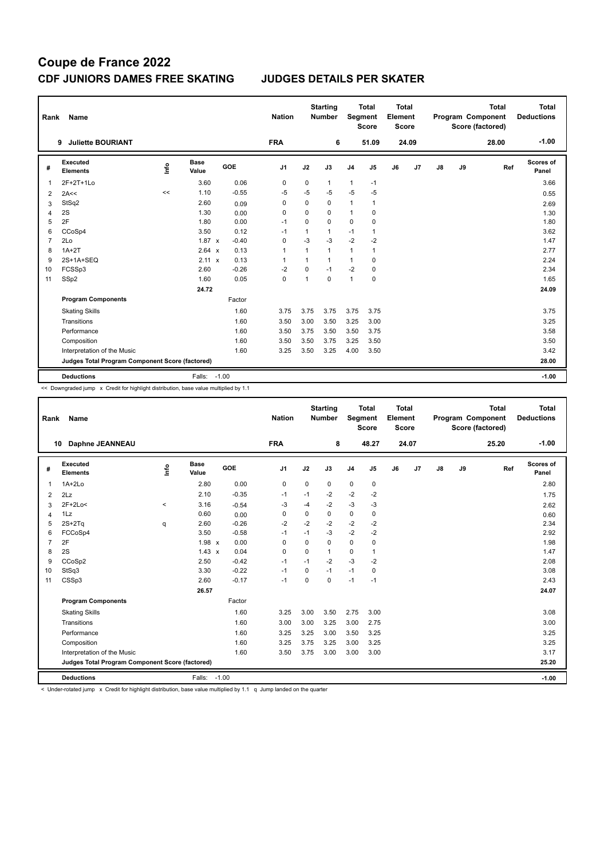| Rank           | Name                                            |      |                      |            | <b>Nation</b>  |                | <b>Starting</b><br><b>Number</b> | Segment        | Total<br><b>Score</b> | <b>Total</b><br>Element<br><b>Score</b> |                |    |    | <b>Total</b><br>Program Component<br>Score (factored) | Total<br><b>Deductions</b> |
|----------------|-------------------------------------------------|------|----------------------|------------|----------------|----------------|----------------------------------|----------------|-----------------------|-----------------------------------------|----------------|----|----|-------------------------------------------------------|----------------------------|
|                | <b>Juliette BOURIANT</b><br>9                   |      |                      |            | <b>FRA</b>     |                | 6                                |                | 51.09                 |                                         | 24.09          |    |    | 28.00                                                 | $-1.00$                    |
| #              | <b>Executed</b><br><b>Elements</b>              | lnfo | <b>Base</b><br>Value | <b>GOE</b> | J <sub>1</sub> | J2             | J3                               | J <sub>4</sub> | J <sub>5</sub>        | J6                                      | J <sub>7</sub> | J8 | J9 | Ref                                                   | Scores of<br>Panel         |
| 1              | 2F+2T+1Lo                                       |      | 3.60                 | 0.06       | 0              | 0              | 1                                | 1              | $-1$                  |                                         |                |    |    |                                                       | 3.66                       |
| $\overline{2}$ | 2A<<                                            | <<   | 1.10                 | $-0.55$    | $-5$           | $-5$           | $-5$                             | $-5$           | $-5$                  |                                         |                |    |    |                                                       | 0.55                       |
| 3              | StSq2                                           |      | 2.60                 | 0.09       | 0              | 0              | $\mathbf 0$                      | 1              | 1                     |                                         |                |    |    |                                                       | 2.69                       |
| 4              | 2S                                              |      | 1.30                 | 0.00       | 0              | 0              | $\Omega$                         | 1              | 0                     |                                         |                |    |    |                                                       | 1.30                       |
| 5              | 2F                                              |      | 1.80                 | 0.00       | $-1$           | 0              | 0                                | 0              | 0                     |                                         |                |    |    |                                                       | 1.80                       |
| 6              | CCoSp4                                          |      | 3.50                 | 0.12       | $-1$           | $\mathbf{1}$   | $\mathbf{1}$                     | $-1$           | 1                     |                                         |                |    |    |                                                       | 3.62                       |
| 7              | 2Lo                                             |      | $1.87 \times$        | $-0.40$    | 0              | $-3$           | $-3$                             | $-2$           | $-2$                  |                                         |                |    |    |                                                       | 1.47                       |
| 8              | $1A+2T$                                         |      | 2.64 x               | 0.13       | $\mathbf{1}$   | $\mathbf{1}$   | $\mathbf{1}$                     | 1              | 1                     |                                         |                |    |    |                                                       | 2.77                       |
| 9              | 2S+1A+SEQ                                       |      | $2.11 \times$        | 0.13       | 1              | 1              | $\mathbf{1}$                     | 1              | 0                     |                                         |                |    |    |                                                       | 2.24                       |
| 10             | FCSSp3                                          |      | 2.60                 | $-0.26$    | $-2$           | 0              | $-1$                             | $-2$           | 0                     |                                         |                |    |    |                                                       | 2.34                       |
| 11             | SSp2                                            |      | 1.60                 | 0.05       | 0              | $\overline{1}$ | $\mathbf 0$                      | 1              | 0                     |                                         |                |    |    |                                                       | 1.65                       |
|                |                                                 |      | 24.72                |            |                |                |                                  |                |                       |                                         |                |    |    |                                                       | 24.09                      |
|                | <b>Program Components</b>                       |      |                      | Factor     |                |                |                                  |                |                       |                                         |                |    |    |                                                       |                            |
|                | <b>Skating Skills</b>                           |      |                      | 1.60       | 3.75           | 3.75           | 3.75                             | 3.75           | 3.75                  |                                         |                |    |    |                                                       | 3.75                       |
|                | Transitions                                     |      |                      | 1.60       | 3.50           | 3.00           | 3.50                             | 3.25           | 3.00                  |                                         |                |    |    |                                                       | 3.25                       |
|                | Performance                                     |      |                      | 1.60       | 3.50           | 3.75           | 3.50                             | 3.50           | 3.75                  |                                         |                |    |    |                                                       | 3.58                       |
|                | Composition                                     |      |                      | 1.60       | 3.50           | 3.50           | 3.75                             | 3.25           | 3.50                  |                                         |                |    |    |                                                       | 3.50                       |
|                | Interpretation of the Music                     |      |                      | 1.60       | 3.25           | 3.50           | 3.25                             | 4.00           | 3.50                  |                                         |                |    |    |                                                       | 3.42                       |
|                | Judges Total Program Component Score (factored) |      |                      |            |                |                |                                  |                |                       |                                         |                |    |    |                                                       | 28.00                      |
|                | <b>Deductions</b>                               |      | Falls:               | $-1.00$    |                |                |                                  |                |                       |                                         |                |    |    |                                                       | $-1.00$                    |

<< Downgraded jump x Credit for highlight distribution, base value multiplied by 1.1

| Rank           | <b>Name</b>                                     |         |                      |         | <b>Nation</b>  |          | <b>Starting</b><br><b>Number</b> | Segment        | <b>Total</b><br><b>Score</b> | Total<br>Element<br><b>Score</b> |       |               |    | <b>Total</b><br>Program Component<br>Score (factored) | Total<br><b>Deductions</b> |
|----------------|-------------------------------------------------|---------|----------------------|---------|----------------|----------|----------------------------------|----------------|------------------------------|----------------------------------|-------|---------------|----|-------------------------------------------------------|----------------------------|
| 10             | Daphne JEANNEAU                                 |         |                      |         | <b>FRA</b>     |          | 8                                |                | 48.27                        |                                  | 24.07 |               |    | 25.20                                                 | $-1.00$                    |
| #              | Executed<br><b>Elements</b>                     | lnfo    | <b>Base</b><br>Value | GOE     | J <sub>1</sub> | J2       | J3                               | J <sub>4</sub> | $\mathsf{J}5$                | J6                               | J7    | $\mathsf{J}8$ | J9 | Ref                                                   | Scores of<br>Panel         |
| $\overline{1}$ | $1A+2Lo$                                        |         | 2.80                 | 0.00    | 0              | $\Omega$ | 0                                | $\pmb{0}$      | 0                            |                                  |       |               |    |                                                       | 2.80                       |
| 2              | 2Lz                                             |         | 2.10                 | $-0.35$ | $-1$           | $-1$     | $-2$                             | $-2$           | $-2$                         |                                  |       |               |    |                                                       | 1.75                       |
| 3              | $2F+2Lo<$                                       | $\prec$ | 3.16                 | $-0.54$ | $-3$           | $-4$     | $-2$                             | $-3$           | $-3$                         |                                  |       |               |    |                                                       | 2.62                       |
| $\overline{4}$ | 1Lz                                             |         | 0.60                 | 0.00    | $\Omega$       | $\Omega$ | 0                                | $\mathbf 0$    | $\mathbf 0$                  |                                  |       |               |    |                                                       | 0.60                       |
| 5              | $2S+2Ta$                                        | q       | 2.60                 | $-0.26$ | $-2$           | $-2$     | $-2$                             | $-2$           | $-2$                         |                                  |       |               |    |                                                       | 2.34                       |
| 6              | FCCoSp4                                         |         | 3.50                 | $-0.58$ | $-1$           | $-1$     | $-3$                             | $-2$           | $-2$                         |                                  |       |               |    |                                                       | 2.92                       |
| $\overline{7}$ | 2F                                              |         | $1.98 \times$        | 0.00    | $\Omega$       | $\Omega$ | $\Omega$                         | $\Omega$       | $\mathbf 0$                  |                                  |       |               |    |                                                       | 1.98                       |
| 8              | 2S                                              |         | $1.43 \times$        | 0.04    | $\mathbf 0$    | $\Omega$ | $\mathbf{1}$                     | $\mathbf 0$    | 1                            |                                  |       |               |    |                                                       | 1.47                       |
| 9              | CCoSp2                                          |         | 2.50                 | $-0.42$ | $-1$           | $-1$     | $-2$                             | $-3$           | $-2$                         |                                  |       |               |    |                                                       | 2.08                       |
| 10             | StSq3                                           |         | 3.30                 | $-0.22$ | $-1$           | 0        | $-1$                             | $-1$           | $\mathbf 0$                  |                                  |       |               |    |                                                       | 3.08                       |
| 11             | CSSp3                                           |         | 2.60                 | $-0.17$ | $-1$           | $\Omega$ | $\Omega$                         | $-1$           | $-1$                         |                                  |       |               |    |                                                       | 2.43                       |
|                |                                                 |         | 26.57                |         |                |          |                                  |                |                              |                                  |       |               |    |                                                       | 24.07                      |
|                | <b>Program Components</b>                       |         |                      | Factor  |                |          |                                  |                |                              |                                  |       |               |    |                                                       |                            |
|                | <b>Skating Skills</b>                           |         |                      | 1.60    | 3.25           | 3.00     | 3.50                             | 2.75           | 3.00                         |                                  |       |               |    |                                                       | 3.08                       |
|                | Transitions                                     |         |                      | 1.60    | 3.00           | 3.00     | 3.25                             | 3.00           | 2.75                         |                                  |       |               |    |                                                       | 3.00                       |
|                | Performance                                     |         |                      | 1.60    | 3.25           | 3.25     | 3.00                             | 3.50           | 3.25                         |                                  |       |               |    |                                                       | 3.25                       |
|                | Composition                                     |         |                      | 1.60    | 3.25           | 3.75     | 3.25                             | 3.00           | 3.25                         |                                  |       |               |    |                                                       | 3.25                       |
|                | Interpretation of the Music                     |         |                      | 1.60    | 3.50           | 3.75     | 3.00                             | 3.00           | 3.00                         |                                  |       |               |    |                                                       | 3.17                       |
|                | Judges Total Program Component Score (factored) |         |                      |         |                |          |                                  |                |                              |                                  |       |               |    |                                                       | 25.20                      |
|                | <b>Deductions</b>                               |         | Falls:               | $-1.00$ |                |          |                                  |                |                              |                                  |       |               |    |                                                       | $-1.00$                    |

< Under-rotated jump x Credit for highlight distribution, base value multiplied by 1.1 q Jump landed on the quarter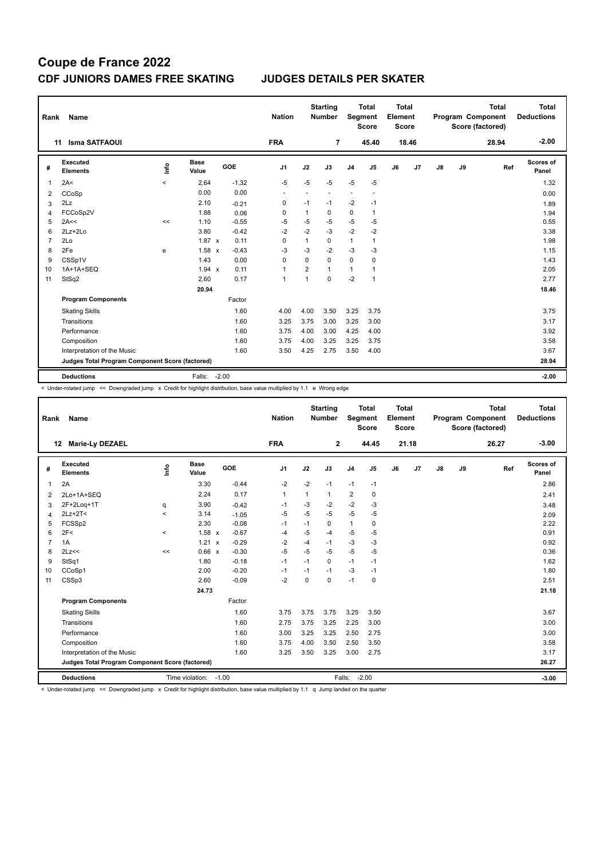| Rank | Name                                            |         |                      |         | <b>Nation</b>  |                | <b>Starting</b><br><b>Number</b> |                | Total<br>Segment<br><b>Score</b> | <b>Total</b><br>Element<br><b>Score</b> |                |               |    | <b>Total</b><br>Program Component<br>Score (factored) | <b>Total</b><br><b>Deductions</b> |
|------|-------------------------------------------------|---------|----------------------|---------|----------------|----------------|----------------------------------|----------------|----------------------------------|-----------------------------------------|----------------|---------------|----|-------------------------------------------------------|-----------------------------------|
|      | <b>Isma SATFAOUI</b><br>11                      |         |                      |         | <b>FRA</b>     |                | $\overline{7}$                   |                | 45.40                            |                                         | 18.46          |               |    | 28.94                                                 | $-2.00$                           |
| #    | Executed<br><b>Elements</b>                     | lnfo    | <b>Base</b><br>Value | GOE     | J <sub>1</sub> | J2             | J3                               | J <sub>4</sub> | J <sub>5</sub>                   | J6                                      | J <sub>7</sub> | $\mathsf{J}8$ | J9 | Ref                                                   | Scores of<br>Panel                |
| 1    | 2A<                                             | $\prec$ | 2.64                 | $-1.32$ | $-5$           | $-5$           | $-5$                             | $-5$           | $-5$                             |                                         |                |               |    |                                                       | 1.32                              |
| 2    | CCoSp                                           |         | 0.00                 | 0.00    | ٠              | ٠              | $\overline{\phantom{a}}$         | ٠              | $\overline{\phantom{a}}$         |                                         |                |               |    |                                                       | 0.00                              |
| 3    | 2Lz                                             |         | 2.10                 | $-0.21$ | 0              | $-1$           | $-1$                             | $-2$           | $-1$                             |                                         |                |               |    |                                                       | 1.89                              |
| 4    | FCCoSp2V                                        |         | 1.88                 | 0.06    | $\Omega$       | 1              | 0                                | 0              | 1                                |                                         |                |               |    |                                                       | 1.94                              |
| 5    | 2A<<                                            | <<      | 1.10                 | $-0.55$ | $-5$           | $-5$           | $-5$                             | $-5$           | $-5$                             |                                         |                |               |    |                                                       | 0.55                              |
| 6    | $2Lz+2Lo$                                       |         | 3.80                 | $-0.42$ | $-2$           | $-2$           | $-3$                             | $-2$           | $-2$                             |                                         |                |               |    |                                                       | 3.38                              |
| 7    | 2Lo                                             |         | $1.87 \times$        | 0.11    | 0              | $\mathbf{1}$   | 0                                | $\mathbf{1}$   | $\mathbf{1}$                     |                                         |                |               |    |                                                       | 1.98                              |
| 8    | 2Fe                                             | e       | $1.58 \times$        | $-0.43$ | $-3$           | $-3$           | $-2$                             | $-3$           | $-3$                             |                                         |                |               |    |                                                       | 1.15                              |
| 9    | CSSp1V                                          |         | 1.43                 | 0.00    | $\Omega$       | $\Omega$       | 0                                | 0              | 0                                |                                         |                |               |    |                                                       | 1.43                              |
| 10   | 1A+1A+SEQ                                       |         | 1.94 x               | 0.11    | $\mathbf{1}$   | $\overline{2}$ | $\mathbf{1}$                     | 1              | 1                                |                                         |                |               |    |                                                       | 2.05                              |
| 11   | StSq2                                           |         | 2.60                 | 0.17    | $\mathbf{1}$   | 1              | $\Omega$                         | $-2$           | $\mathbf{1}$                     |                                         |                |               |    |                                                       | 2.77                              |
|      |                                                 |         | 20.94                |         |                |                |                                  |                |                                  |                                         |                |               |    |                                                       | 18.46                             |
|      | <b>Program Components</b>                       |         |                      | Factor  |                |                |                                  |                |                                  |                                         |                |               |    |                                                       |                                   |
|      | <b>Skating Skills</b>                           |         |                      | 1.60    | 4.00           | 4.00           | 3.50                             | 3.25           | 3.75                             |                                         |                |               |    |                                                       | 3.75                              |
|      | Transitions                                     |         |                      | 1.60    | 3.25           | 3.75           | 3.00                             | 3.25           | 3.00                             |                                         |                |               |    |                                                       | 3.17                              |
|      | Performance                                     |         |                      | 1.60    | 3.75           | 4.00           | 3.00                             | 4.25           | 4.00                             |                                         |                |               |    |                                                       | 3.92                              |
|      | Composition                                     |         |                      | 1.60    | 3.75           | 4.00           | 3.25                             | 3.25           | 3.75                             |                                         |                |               |    |                                                       | 3.58                              |
|      | Interpretation of the Music                     |         |                      | 1.60    | 3.50           | 4.25           | 2.75                             | 3.50           | 4.00                             |                                         |                |               |    |                                                       | 3.67                              |
|      | Judges Total Program Component Score (factored) |         |                      |         |                |                |                                  |                |                                  |                                         |                |               |    |                                                       | 28.94                             |
|      | <b>Deductions</b>                               |         | Falls:               | $-2.00$ |                |                |                                  |                |                                  |                                         |                |               |    |                                                       | $-2.00$                           |

< Under-rotated jump << Downgraded jump x Credit for highlight distribution, base value multiplied by 1.1 e Wrong edge

| Rank           | Name                                            |                                  |                      |            | <b>Nation</b>  |      | <b>Starting</b><br><b>Number</b> |                | <b>Total</b><br>Segment<br><b>Score</b> | <b>Total</b><br>Element<br><b>Score</b> |       |               |    | <b>Total</b><br>Program Component<br>Score (factored) | <b>Total</b><br><b>Deductions</b> |
|----------------|-------------------------------------------------|----------------------------------|----------------------|------------|----------------|------|----------------------------------|----------------|-----------------------------------------|-----------------------------------------|-------|---------------|----|-------------------------------------------------------|-----------------------------------|
|                | <b>Marie-Ly DEZAEL</b><br>12                    |                                  |                      |            | <b>FRA</b>     |      | $\mathbf{2}$                     |                | 44.45                                   |                                         | 21.18 |               |    | 26.27                                                 | $-3.00$                           |
| #              | <b>Executed</b><br><b>Elements</b>              | $\mathop{\mathsf{Irr}}\nolimits$ | <b>Base</b><br>Value | <b>GOE</b> | J <sub>1</sub> | J2   | J3                               | J <sub>4</sub> | J <sub>5</sub>                          | J6                                      | J7    | $\mathsf{J}8$ | J9 | Ref                                                   | Scores of<br>Panel                |
| 1              | 2A                                              |                                  | 3.30                 | $-0.44$    | $-2$           | $-2$ | $-1$                             | $-1$           | $-1$                                    |                                         |       |               |    |                                                       | 2.86                              |
| 2              | 2Lo+1A+SEQ                                      |                                  | 2.24                 | 0.17       | $\mathbf{1}$   | 1    | $\mathbf{1}$                     | $\overline{2}$ | 0                                       |                                         |       |               |    |                                                       | 2.41                              |
| 3              | 2F+2Log+1T                                      | q                                | 3.90                 | $-0.42$    | -1             | $-3$ | $-2$                             | $-2$           | $-3$                                    |                                         |       |               |    |                                                       | 3.48                              |
| 4              | $2Lz+2T<$                                       | $\prec$                          | 3.14                 | $-1.05$    | $-5$           | $-5$ | $-5$                             | $-5$           | $-5$                                    |                                         |       |               |    |                                                       | 2.09                              |
| 5              | FCSSp2                                          |                                  | 2.30                 | $-0.08$    | $-1$           | $-1$ | 0                                | $\mathbf{1}$   | 0                                       |                                         |       |               |    |                                                       | 2.22                              |
| 6              | 2F<                                             | $\prec$                          | 1.58 x               | $-0.67$    | $-4$           | $-5$ | -4                               | $-5$           | $-5$                                    |                                         |       |               |    |                                                       | 0.91                              |
| $\overline{7}$ | 1A                                              |                                  | 1.21<br>$\mathsf{x}$ | $-0.29$    | $-2$           | $-4$ | $-1$                             | $-3$           | $-3$                                    |                                         |       |               |    |                                                       | 0.92                              |
| 8              | 2Lz<<                                           | <<                               | 0.66 x               | $-0.30$    | $-5$           | $-5$ | $-5$                             | $-5$           | -5                                      |                                         |       |               |    |                                                       | 0.36                              |
| 9              | StSq1                                           |                                  | 1.80                 | $-0.18$    | $-1$           | $-1$ | $\Omega$                         | $-1$           | $-1$                                    |                                         |       |               |    |                                                       | 1.62                              |
| 10             | CCoSp1                                          |                                  | 2.00                 | $-0.20$    | $-1$           | $-1$ | $-1$                             | -3             | $-1$                                    |                                         |       |               |    |                                                       | 1.80                              |
| 11             | CSSp3                                           |                                  | 2.60                 | $-0.09$    | $-2$           | 0    | $\mathbf 0$                      | $-1$           | 0                                       |                                         |       |               |    |                                                       | 2.51                              |
|                |                                                 |                                  | 24.73                |            |                |      |                                  |                |                                         |                                         |       |               |    |                                                       | 21.18                             |
|                | <b>Program Components</b>                       |                                  |                      | Factor     |                |      |                                  |                |                                         |                                         |       |               |    |                                                       |                                   |
|                | <b>Skating Skills</b>                           |                                  |                      | 1.60       | 3.75           | 3.75 | 3.75                             | 3.25           | 3.50                                    |                                         |       |               |    |                                                       | 3.67                              |
|                | Transitions                                     |                                  |                      | 1.60       | 2.75           | 3.75 | 3.25                             | 2.25           | 3.00                                    |                                         |       |               |    |                                                       | 3.00                              |
|                | Performance                                     |                                  |                      | 1.60       | 3.00           | 3.25 | 3.25                             | 2.50           | 2.75                                    |                                         |       |               |    |                                                       | 3.00                              |
|                | Composition                                     |                                  |                      | 1.60       | 3.75           | 4.00 | 3.50                             | 2.50           | 3.50                                    |                                         |       |               |    |                                                       | 3.58                              |
|                | Interpretation of the Music                     |                                  |                      | 1.60       | 3.25           | 3.50 | 3.25                             | 3.00           | 2.75                                    |                                         |       |               |    |                                                       | 3.17                              |
|                | Judges Total Program Component Score (factored) |                                  |                      |            |                |      |                                  |                |                                         |                                         |       |               |    |                                                       | 26.27                             |
|                | <b>Deductions</b>                               |                                  | Time violation:      | $-1.00$    |                |      |                                  | Falls:         | $-2.00$                                 |                                         |       |               |    |                                                       | $-3.00$                           |

< Under-rotated jump << Downgraded jump x Credit for highlight distribution, base value multiplied by 1.1 q Jump landed on the quarter